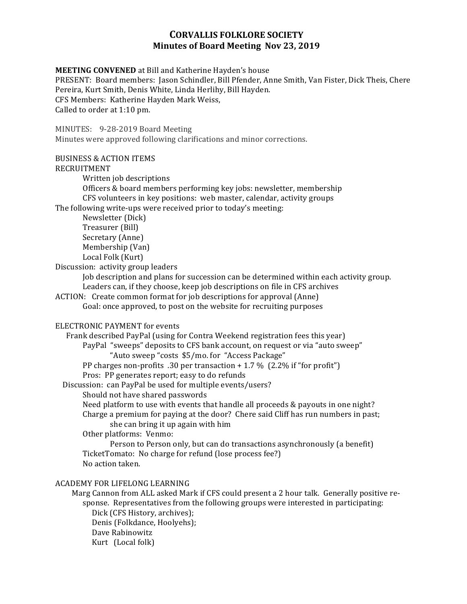# **CORVALLIS FOLKLORE SOCIETY Minutes of Board Meeting Nov 23, 2019**

**MEETING CONVENED** at Bill and Katherine Hayden's house PRESENT: Board members: Jason Schindler, Bill Pfender, Anne Smith, Van Fister, Dick Theis, Chere Pereira, Kurt Smith, Denis White, Linda Herlihy, Bill Hayden. CFS Members: Katherine Hayden Mark Weiss, Called to order at 1:10 pm.

MINUTES: 9-28-2019 Board Meeting Minutes were approved following clarifications and minor corrections. 

#### BUSINESS & ACTION ITEMS

#### RECRUITMENT

Written job descriptions

Officers & board members performing key jobs: newsletter, membership CFS volunteers in key positions: web master, calendar, activity groups

The following write-ups were received prior to today's meeting:

Newsletter (Dick) Treasurer (Bill) Secretary (Anne) Membership (Van) Local Folk (Kurt)

Discussion: activity group leaders

Job description and plans for succession can be determined within each activity group. Leaders can, if they choose, keep job descriptions on file in CFS archives

ACTION: Create common format for job descriptions for approval (Anne) Goal: once approved, to post on the website for recruiting purposes

### ELECTRONIC PAYMENT for events

| Frank described PayPal (using for Contra Weekend registration fees this year)<br>PayPal "sweeps" deposits to CFS bank account, on request or via "auto sweep"<br>"Auto sweep "costs \$5/mo. for "Access Package"                                                      |
|-----------------------------------------------------------------------------------------------------------------------------------------------------------------------------------------------------------------------------------------------------------------------|
| PP charges non-profits .30 per transaction $+1.7\%$ (2.2% if "for profit")                                                                                                                                                                                            |
| Pros: PP generates report; easy to do refunds                                                                                                                                                                                                                         |
| Discussion: can PayPal be used for multiple events/users?                                                                                                                                                                                                             |
| Should not have shared passwords                                                                                                                                                                                                                                      |
| Need platform to use with events that handle all proceeds & payouts in one night?                                                                                                                                                                                     |
| Charge a premium for paying at the door? Chere said Cliff has run numbers in past;<br>she can bring it up again with him                                                                                                                                              |
| Other platforms: Venmo:                                                                                                                                                                                                                                               |
| Person to Person only, but can do transactions asynchronously (a benefit)<br>TicketTomato: No charge for refund (lose process fee?)                                                                                                                                   |
| No action taken.                                                                                                                                                                                                                                                      |
| ACADEMY FOR LIFELONG LEARNING                                                                                                                                                                                                                                         |
| Marg Cannon from ALL asked Mark if CFS could present a 2 hour talk. Generally positive re-<br>sponse. Representatives from the following groups were interested in participating:<br>Dick (CFS History, archives);<br>Denis (Folkdance, Hoolyehs);<br>Dave Rabinowitz |

Kurt (Local folk)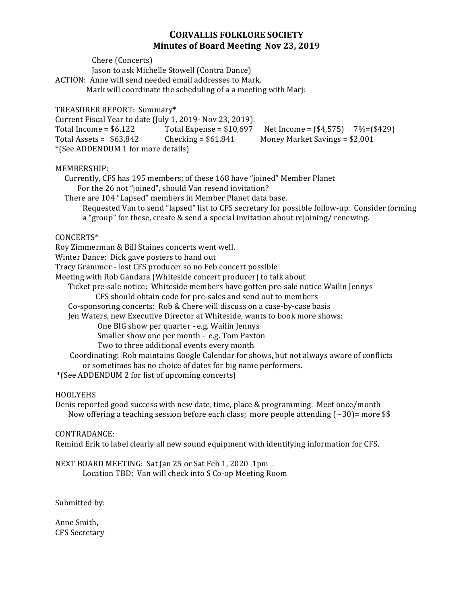# **CORVALLIS FOLKLORE SOCIETY Minutes of Board Meeting Nov 23, 2019**

 Chere (Concerts) Jason to ask Michelle Stowell (Contra Dance) ACTION: Anne will send needed email addresses to Mark. Mark will coordinate the scheduling of a a meeting with Marj: TREASURER REPORT: Summary\* Current Fiscal Year to date (July 1, 2019- Nov 23, 2019). Total Income =  $$6,122$  Total Expense =  $$10,697$  Net Income =  $($4,575)$  7%= $($429)$ Total Assets =  $$63,842$  Checking =  $$61,841$  Money Market Savings =  $$2,001$ \*(See ADDENDUM 1 for more details) MEMBERSHIP: Currently, CFS has 195 members; of these 168 have "joined" Member Planet For the 26 not "joined", should Van resend invitation? There are 104 "Lapsed" members in Member Planet data base. Requested Van to send "lapsed" list to CFS secretary for possible follow-up. Consider forming a "group" for these, create & send a special invitation about rejoining/ renewing. CONCERTS\* Roy Zimmerman & Bill Staines concerts went well. Winter Dance: Dick gave posters to hand out Tracy Grammer - lost CFS producer so no Feb concert possible Meeting with Rob Gandara (Whiteside concert producer) to talk about Ticket pre-sale notice: Whiteside members have gotten pre-sale notice Wailin Jennys CFS should obtain code for pre-sales and send out to members Co-sponsoring concerts: Rob & Chere will discuss on a case-by-case basis Jen Waters, new Executive Director at Whiteside, wants to book more shows: One BIG show per quarter - e.g. Wailin Jennys Smaller show one per month - e.g. Tom Paxton Two to three additional events every month Coordinating: Rob maintains Google Calendar for shows, but not always aware of conflicts or sometimes has no choice of dates for big name performers. \*(See ADDENDUM 2 for list of upcoming concerts)

### HOOLYEHS

Denis reported good success with new date, time, place & programming. Meet once/month Now offering a teaching session before each class; more people attending  $\left(\sim 30\right)$ = more \$\$

#### CONTRADANCE:

Remind Erik to label clearly all new sound equipment with identifying information for CFS.

NEXT BOARD MEETING: Sat Jan 25 or Sat Feb 1, 2020 1pm. Location TBD: Van will check into S Co-op Meeting Room

Submitted by:

Anne Smith, CFS Secretary